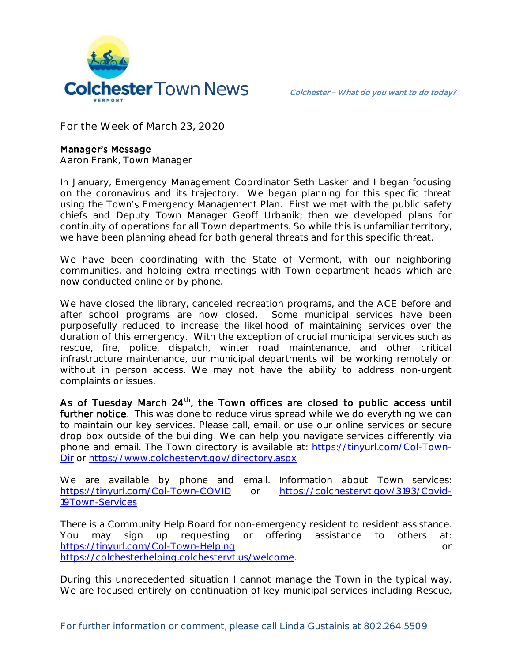

**For the Week of March 23, 2020**

## **Manager's Message**

**Aaron Frank, Town Manager**

In January, Emergency Management Coordinator Seth Lasker and I began focusing on the coronavirus and its trajectory. We began planning for this specific threat using the Town's Emergency Management Plan. First we met with the public safety chiefs and Deputy Town Manager Geoff Urbanik; then we developed plans for continuity of operations for all Town departments. So while this is unfamiliar territory, we have been planning ahead for both general threats and for this specific threat.

We have been coordinating with the State of Vermont, with our neighboring communities, and holding extra meetings with Town department heads which are now conducted online or by phone.

We have closed the library, canceled recreation programs, and the ACE before and after school programs are now closed. Some municipal services have been purposefully reduced to increase the likelihood of maintaining services over the duration of this emergency. With the exception of crucial municipal services such as rescue, fire, police, dispatch, winter road maintenance, and other critical infrastructure maintenance, our municipal departments will be working remotely or without in person access. We may not have the ability to address non-urgent complaints or issues.

As of Tuesday March  $24<sup>th</sup>$ , the Town offices are closed to public access until further notice. This was done to reduce virus spread while we do everything we can to maintain our key services. Please call, email, or use our online services or secure drop box outside of the building. We can help you navigate services differently via phone and email. The Town directory is available at: [https://tinyurl.com/Col-Town-](https://tinyurl.com/Col-Town-Dir)[Dir](https://tinyurl.com/Col-Town-Dir) or<https://www.colchestervt.gov/directory.aspx>

We are available by phone and email. Information about Town services: <https://tinyurl.com/Col-Town-COVID> or [https://colchestervt.gov/3193/Covid-](https://colchestervt.gov/3193/Covid-19Town-Services)[19Town-Services](https://colchestervt.gov/3193/Covid-19Town-Services)

There is a Community Help Board for non-emergency resident to resident assistance. You may sign up requesting or offering assistance to others at: <https://tinyurl.com/Col-Town-Helping> or [https://colchesterhelping.colchestervt.us/welcome.](https://colchesterhelping.colchestervt.us/welcome)

During this unprecedented situation I cannot manage the Town in the typical way. We are focused entirely on continuation of key municipal services including Rescue,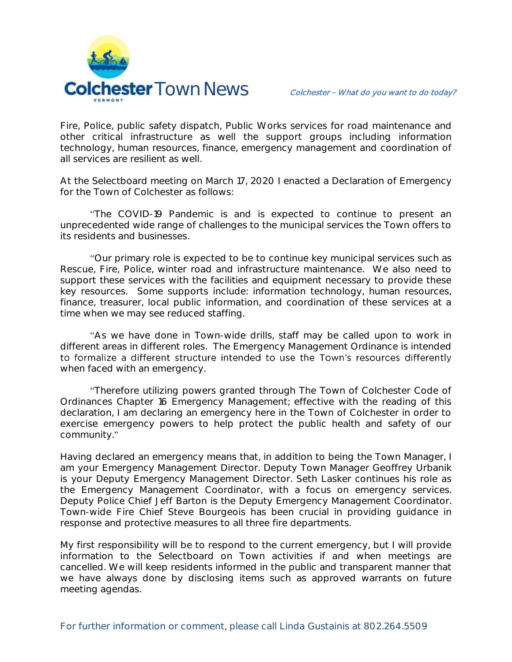

Fire, Police, public safety dispatch, Public Works services for road maintenance and other critical infrastructure as well the support groups including information technology, human resources, finance, emergency management and coordination of all services are resilient as well.

At the Selectboard meeting on March 17, 2020 I enacted a Declaration of Emergency for the Town of Colchester as follows:

The COVID-19 Pandemic is and is expected to continue to present an unprecedented wide range of challenges to the municipal services the Town offers to its residents and businesses.

Our primary role is expected to be to continue key municipal services such as Rescue, Fire, Police, winter road and infrastructure maintenance. We also need to support these services with the facilities and equipment necessary to provide these key resources. Some supports include: information technology, human resources, finance, treasurer, local public information, and coordination of these services at a time when we may see reduced staffing.

As we have done in Town-wide drills, staff may be called upon to work in different areas in different roles. The Emergency Management Ordinance is intended to formalize a different structure intended to use the Town's resources differently when faced with an emergency.

Therefore utilizing powers granted through The Town of Colchester Code of Ordinances Chapter 16 Emergency Management; effective with the reading of this declaration, I am declaring an emergency here in the Town of Colchester in order to exercise emergency powers to help protect the public health and safety of our community."

Having declared an emergency means that, in addition to being the Town Manager, I am your Emergency Management Director. Deputy Town Manager Geoffrey Urbanik is your Deputy Emergency Management Director. Seth Lasker continues his role as the Emergency Management Coordinator, with a focus on emergency services. Deputy Police Chief Jeff Barton is the Deputy Emergency Management Coordinator. Town-wide Fire Chief Steve Bourgeois has been crucial in providing guidance in response and protective measures to all three fire departments.

My first responsibility will be to respond to the current emergency, but I will provide information to the Selectboard on Town activities if and when meetings are cancelled. We will keep residents informed in the public and transparent manner that we have always done by disclosing items such as approved warrants on future meeting agendas.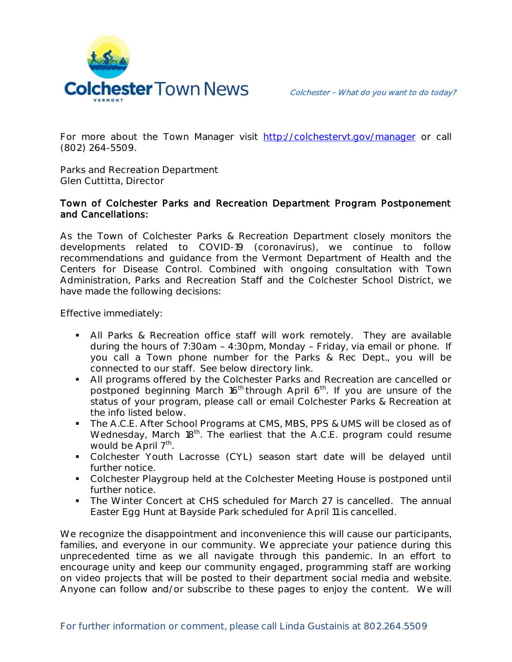

For more about the Town Manager visit <http://colchestervt.gov/manager> or call (802) 264-5509.

**Parks and Recreation Department Glen Cuttitta, Director**

## Town of Colchester Parks and Recreation Department Program Postponement and Cancellations:

As the Town of Colchester Parks & Recreation Department closely monitors the developments related to COVID-19 (coronavirus), we continue to follow recommendations and guidance from the Vermont Department of Health and the Centers for Disease Control. Combined with ongoing consultation with Town Administration, Parks and Recreation Staff and the Colchester School District, we have made the following decisions:

Effective immediately:

- All Parks & Recreation office staff will work remotely. They are available during the hours of  $7:30$ am -  $4:30$ pm, Monday - Friday, via email or phone. If you call a Town phone number for the Parks & Rec Dept., you will be connected to our staff. See below directory link.
- All programs offered by the Colchester Parks and Recreation are cancelled or postponed beginning March 16<sup>th</sup> through April 6<sup>th</sup>. If you are unsure of the status of your program, please call or email Colchester Parks & Recreation at the info listed below.
- The A.C.E. After School Programs at CMS, MBS, PPS & UMS will be closed as of Wednesday, March 18<sup>th</sup>. The earliest that the A.C.E. program could resume would be April 7<sup>th</sup>.
- Colchester Youth Lacrosse (CYL) season start date will be delayed until further notice.
- Colchester Playgroup held at the Colchester Meeting House is postponed until further notice.
- The Winter Concert at CHS scheduled for March 27 is cancelled. The annual Easter Egg Hunt at Bayside Park scheduled for April 11 is cancelled.

We recognize the disappointment and inconvenience this will cause our participants, families, and everyone in our community. We appreciate your patience during this unprecedented time as we all navigate through this pandemic. In an effort to encourage unity and keep our community engaged, programming staff are working on video projects that will be posted to their department social media and website. Anyone can follow and/or subscribe to these pages to enjoy the content. We will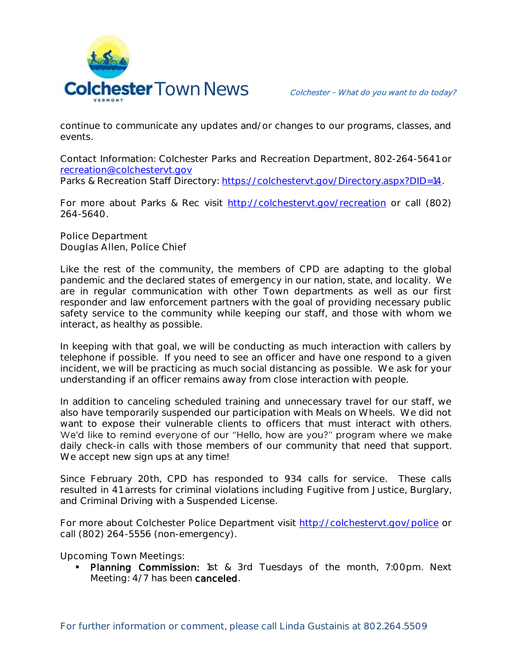

continue to communicate any updates and/or changes to our programs, classes, and events.

Contact Information: Colchester Parks and Recreation Department, 802-264-5641 or [recreation@colchestervt.gov](mailto:recreation@colchestervt.gov)

Parks & Recreation Staff Directory: [https://colchestervt.gov/Directory.aspx?DID=14.](https://colchestervt.gov/Directory.aspx?DID=14)

For more about Parks & Rec visit [http://colchestervt.gov/recreation](http://colchestervt.gov/Recreation/parksNRec.shtml) or call (802) 264-5640.

**Police Department Douglas Allen, Police Chief** 

Like the rest of the community, the members of CPD are adapting to the global pandemic and the declared states of emergency in our nation, state, and locality. We are in regular communication with other Town departments as well as our first responder and law enforcement partners with the goal of providing necessary public safety service to the community while keeping our staff, and those with whom we interact, as healthy as possible.

In keeping with that goal, we will be conducting as much interaction with callers by telephone if possible. If you need to see an officer and have one respond to a given incident, we will be practicing as much social distancing as possible. We ask for your understanding if an officer remains away from close interaction with people.

In addition to canceling scheduled training and unnecessary travel for our staff, we also have temporarily suspended our participation with Meals on Wheels. We did not want to expose their vulnerable clients to officers that must interact with others. We'd like to remind everyone of our "Hello, how are you?" program where we make daily check-in calls with those members of our community that need that support. We accept new sign ups at any time!

Since February 20th, CPD has responded to 934 calls for service. These calls resulted in 41 arrests for criminal violations including Fugitive from Justice, Burglary, and Criminal Driving with a Suspended License.

For more about Colchester Police Department visit<http://colchestervt.gov/police> or call (802) 264-5556 (non-emergency).

**Upcoming Town Meetings:** 

**Planning Commission:** 1st & 3rd Tuesdays of the month, 7:00pm. Next Meeting: 4/7 has been canceled.